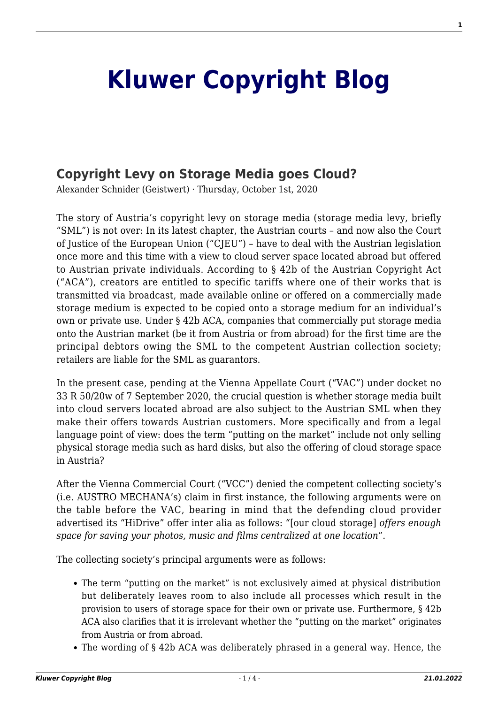## **[Kluwer Copyright Blog](http://copyrightblog.kluweriplaw.com/)**

## **[Copyright Levy on Storage Media goes Cloud?](http://copyrightblog.kluweriplaw.com/2020/10/01/copyright-levy-on-storage-media-goes-cloud/)**

Alexander Schnider (Geistwert) · Thursday, October 1st, 2020

The story of Austria's copyright levy on storage media (storage media levy, briefly "SML") is not over: In its latest chapter, the Austrian courts – and now also the Court of Justice of the European Union ("CJEU") – have to deal with the Austrian legislation once more and this time with a view to cloud server space located abroad but offered to Austrian private individuals. According to § 42b of the Austrian Copyright Act ("ACA"), creators are entitled to specific tariffs where one of their works that is transmitted via broadcast, made available online or offered on a commercially made storage medium is expected to be copied onto a storage medium for an individual's own or private use. Under § 42b ACA, companies that commercially put storage media onto the Austrian market (be it from Austria or from abroad) for the first time are the principal debtors owing the SML to the competent Austrian collection society; retailers are liable for the SML as guarantors.

In the present case, pending at the Vienna Appellate Court ("VAC") under docket no 33 R 50/20w of 7 September 2020, the crucial question is whether storage media built into cloud servers located abroad are also subject to the Austrian SML when they make their offers towards Austrian customers. More specifically and from a legal language point of view: does the term "putting on the market" include not only selling physical storage media such as hard disks, but also the offering of cloud storage space in Austria?

After the Vienna Commercial Court ("VCC") denied the competent collecting society's (i.e. AUSTRO MECHANA's) claim in first instance, the following arguments were on the table before the VAC, bearing in mind that the defending cloud provider advertised its "HiDrive" offer inter alia as follows: "[our cloud storage] *offers enough space for saving your photos, music and films centralized at one location*".

The collecting society's principal arguments were as follows:

- The term "putting on the market" is not exclusively aimed at physical distribution but deliberately leaves room to also include all processes which result in the provision to users of storage space for their own or private use. Furthermore, § 42b ACA also clarifies that it is irrelevant whether the "putting on the market" originates from Austria or from abroad.
- The wording of § 42b ACA was deliberately phrased in a general way. Hence, the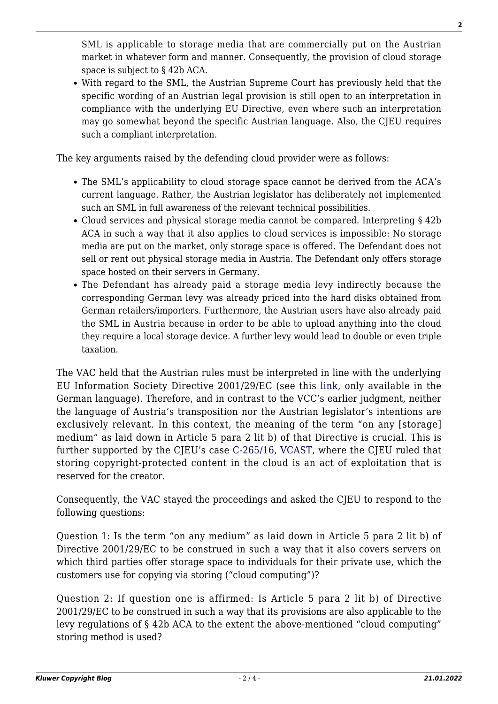SML is applicable to storage media that are commercially put on the Austrian market in whatever form and manner. Consequently, the provision of cloud storage space is subject to § 42b ACA.

With regard to the SML, the Austrian Supreme Court has previously held that the specific wording of an Austrian legal provision is still open to an interpretation in compliance with the underlying EU Directive, even where such an interpretation may go somewhat beyond the specific Austrian language. Also, the CJEU requires such a compliant interpretation.

The key arguments raised by the defending cloud provider were as follows:

- The SML's applicability to cloud storage space cannot be derived from the ACA's current language. Rather, the Austrian legislator has deliberately not implemented such an SML in full awareness of the relevant technical possibilities.
- Cloud services and physical storage media cannot be compared. Interpreting § 42b ACA in such a way that it also applies to cloud services is impossible: No storage media are put on the market, only storage space is offered. The Defendant does not sell or rent out physical storage media in Austria. The Defendant only offers storage space hosted on their servers in Germany.
- The Defendant has already paid a storage media levy indirectly because the corresponding German levy was already priced into the hard disks obtained from German retailers/importers. Furthermore, the Austrian users have also already paid the SML in Austria because in order to be able to upload anything into the cloud they require a local storage device. A further levy would lead to double or even triple taxation.

The VAC held that the Austrian rules must be interpreted in line with the underlying EU Information Society Directive 2001/29/EC (see this [link](https://www.ris.bka.gv.at/Dokument.wxe?Abfrage=Justiz&Gericht=&Rechtssatznummer=&Rechtssatz=&Fundstelle=&AenderungenSeit=Undefined&SucheNachRechtssatz=True&SucheNachText=True&GZ=33+R+50%2f20w&VonDatum=&BisDatum=28.09.2020&Norm=&ImRisSeitVonDatum=&ImRisSeitBisDatum=&ImRisSeit=Undefined&ResultPageSize=100&Suchworte=&Position=1&SkipToDocumentPage=true&ResultFunctionToken=4d6d2e2e-069b-4fc9-bbdf-e0232153eb96&Dokumentnummer=JJT_20200907_OLG0009_03300R00050_20W0000_000), only available in the German language). Therefore, and in contrast to the VCC's earlier judgment, neither the language of Austria's transposition nor the Austrian legislator's intentions are exclusively relevant. In this context, the meaning of the term "on any [storage] medium" as laid down in Article 5 para 2 lit b) of that Directive is crucial. This is further supported by the CJEU's case [C-265/16, VCAST](http://curia.europa.eu/juris/document/document.jsf?text=&docid=197264&pageIndex=0&doclang=en&mode=lst&dir=&occ=first&part=1&cid=4578879), where the CJEU ruled that storing copyright-protected content in the cloud is an act of exploitation that is reserved for the creator.

Consequently, the VAC stayed the proceedings and asked the CJEU to respond to the following questions:

Question 1: Is the term "on any medium" as laid down in Article 5 para 2 lit b) of Directive 2001/29/EC to be construed in such a way that it also covers servers on which third parties offer storage space to individuals for their private use, which the customers use for copying via storing ("cloud computing")?

Question 2: If question one is affirmed: Is Article 5 para 2 lit b) of Directive 2001/29/EC to be construed in such a way that its provisions are also applicable to the levy regulations of § 42b ACA to the extent the above-mentioned "cloud computing" storing method is used?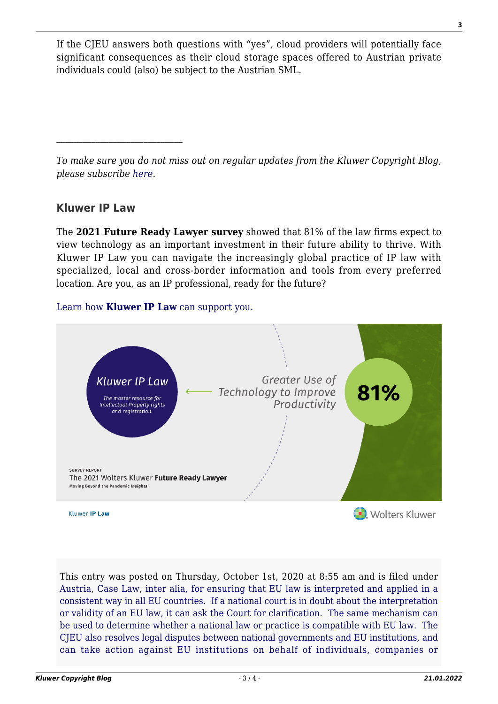If the CJEU answers both questions with "yes", cloud providers will potentially face significant consequences as their cloud storage spaces offered to Austrian private individuals could (also) be subject to the Austrian SML.

*To make sure you do not miss out on regular updates from the Kluwer Copyright Blog, please subscribe [here.](http://copyrightblog.kluweriplaw.com/newsletter)*

## **Kluwer IP Law**

The **2021 Future Ready Lawyer survey** showed that 81% of the law firms expect to view technology as an important investment in their future ability to thrive. With Kluwer IP Law you can navigate the increasingly global practice of IP law with specialized, local and cross-border information and tools from every preferred location. Are you, as an IP professional, ready for the future?

## [Learn how](https://www.wolterskluwer.com/en/solutions/kluweriplaw?utm_source=copyrightnblog&utm_medium=articleCTA&utm_campaign=article-banner) **[Kluwer IP Law](https://www.wolterskluwer.com/en/solutions/kluweriplaw?utm_source=copyrightnblog&utm_medium=articleCTA&utm_campaign=article-banner)** [can support you.](https://www.wolterskluwer.com/en/solutions/kluweriplaw?utm_source=copyrightnblog&utm_medium=articleCTA&utm_campaign=article-banner)



This entry was posted on Thursday, October 1st, 2020 at 8:55 am and is filed under [Austria](http://copyrightblog.kluweriplaw.com/category/jurisdiction-2/austria/), [Case Law,](http://copyrightblog.kluweriplaw.com/category/case-law/) [inter alia, for ensuring that EU law is interpreted and applied in a](http://copyrightblog.kluweriplaw.com/category/cjeu/) [consistent way in all EU countries. If a national court is in doubt about the interpretation](http://copyrightblog.kluweriplaw.com/category/cjeu/) [or validity of an EU law, it can ask the Court for clarification. The same mechanism can](http://copyrightblog.kluweriplaw.com/category/cjeu/) [be used to determine whether a national law or practice is compatible with EU law. The](http://copyrightblog.kluweriplaw.com/category/cjeu/) [CJEU also resolves legal disputes between national governments and EU institutions, and](http://copyrightblog.kluweriplaw.com/category/cjeu/) [can take action against EU institutions on behalf of individuals, companies or](http://copyrightblog.kluweriplaw.com/category/cjeu/)